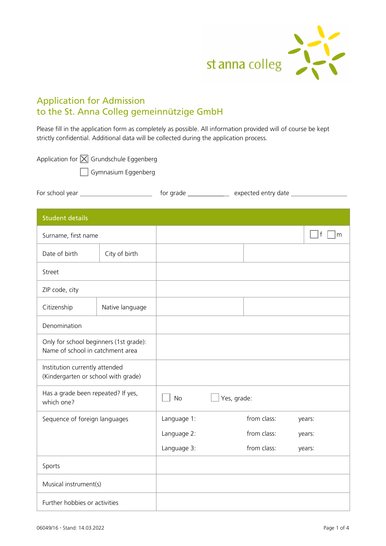

# Application for Admission to the St. Anna Colleg gemeinnützige GmbH

Please fill in the application form as completely as possible. All information provided will of course be kept strictly confidential. Additional data will be collected during the application process.

Application for  $\boxed{\times}$  Grundschule Eggenberg

Gymnasium Eggenberg

| For school year<br>for arade | expected entry date |  |
|------------------------------|---------------------|--|
|------------------------------|---------------------|--|

| <b>Student details</b>                                                     |                 |             |             |             |                   |
|----------------------------------------------------------------------------|-----------------|-------------|-------------|-------------|-------------------|
| Surname, first name                                                        |                 |             |             |             | $\mathsf{f}$<br>m |
| Date of birth                                                              | City of birth   |             |             |             |                   |
| Street                                                                     |                 |             |             |             |                   |
| ZIP code, city                                                             |                 |             |             |             |                   |
| Citizenship                                                                | Native language |             |             |             |                   |
| Denomination                                                               |                 |             |             |             |                   |
| Only for school beginners (1st grade):<br>Name of school in catchment area |                 |             |             |             |                   |
| Institution currently attended<br>(Kindergarten or school with grade)      |                 |             |             |             |                   |
| Has a grade been repeated? If yes,<br>which one?                           |                 | <b>No</b>   | Yes, grade: |             |                   |
| Sequence of foreign languages                                              |                 | Language 1: |             | from class: | years:            |
|                                                                            |                 | Language 2: |             | from class: | years:            |
|                                                                            |                 | Language 3: |             | from class: | years:            |
| Sports                                                                     |                 |             |             |             |                   |
| Musical instrument(s)                                                      |                 |             |             |             |                   |
| Further hobbies or activities                                              |                 |             |             |             |                   |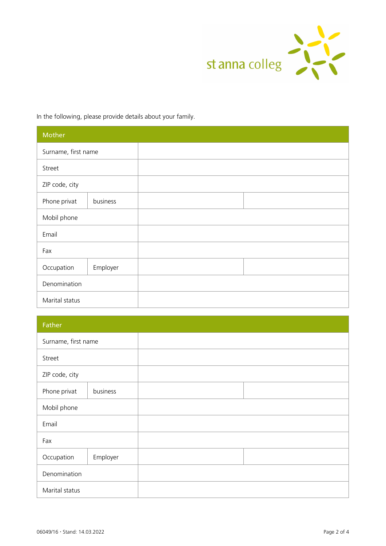

In the following, please provide details about your family.

| Mother              |          |  |
|---------------------|----------|--|
| Surname, first name |          |  |
| Street              |          |  |
| ZIP code, city      |          |  |
| Phone privat        | business |  |
| Mobil phone         |          |  |
| Email               |          |  |
| Fax                 |          |  |
| Occupation          | Employer |  |
| Denomination        |          |  |
| Marital status      |          |  |

| Father              |          |
|---------------------|----------|
| Surname, first name |          |
| Street              |          |
| ZIP code, city      |          |
| Phone privat        | business |
| Mobil phone         |          |
| Email               |          |
| Fax                 |          |
| Occupation          | Employer |
| Denomination        |          |
| Marital status      |          |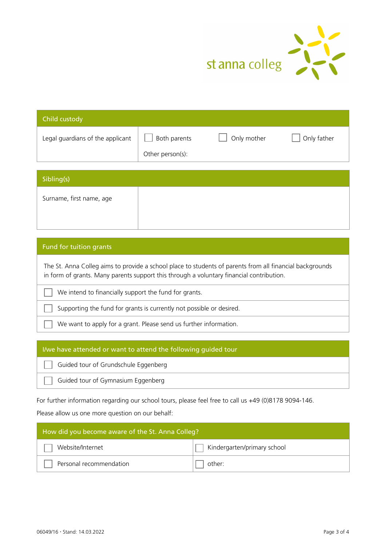

| Child custody                    |                                  |             |             |
|----------------------------------|----------------------------------|-------------|-------------|
| Legal guardians of the applicant | Both parents<br>Other person(s): | Only mother | Only father |
|                                  |                                  |             |             |
| Sibling(s)                       |                                  |             |             |

Surname, first name, age

# Fund for tuition grants

The St. Anna Colleg aims to provide a school place to students of parents from all financial backgrounds in form of grants. Many parents support this through a voluntary financial contribution.

We intend to financially support the fund for grants.

Supporting the fund for grants is currently not possible or desired.

We want to apply for a grant. Please send us further information.

### I/we have attended or want to attend the following guided tour

Guided tour of Grundschule Eggenberg

Guided tour of Gymnasium Eggenberg

For further information regarding our school tours, please feel free to call us +49 (0)8178 9094-146.

#### Please allow us one more question on our behalf:

| How did you become aware of the St. Anna Colleg? |                             |  |
|--------------------------------------------------|-----------------------------|--|
| Website/Internet                                 | Kindergarten/primary school |  |
| Personal recommendation                          | other:                      |  |